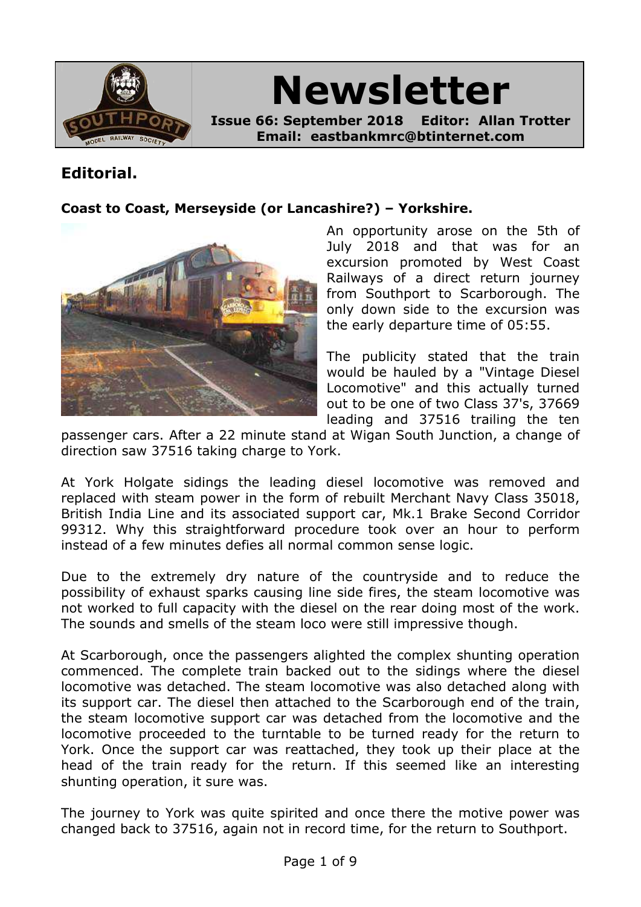

**Newsletter Issue 66: September 2018 Editor: Allan Trotter Email: eastbankmrc@btinternet.com**

## **Editorial.**

### **Coast to Coast, Merseyside (or Lancashire?) – Yorkshire.**



An opportunity arose on the 5th of July 2018 and that was for an excursion promoted by West Coast Railways of a direct return journey from Southport to Scarborough. The only down side to the excursion was the early departure time of 05:55.

The publicity stated that the train would be hauled by a "Vintage Diesel Locomotive" and this actually turned out to be one of two Class 37's, 37669 leading and 37516 trailing the ten

passenger cars. After a 22 minute stand at Wigan South Junction, a change of direction saw 37516 taking charge to York.

At York Holgate sidings the leading diesel locomotive was removed and replaced with steam power in the form of rebuilt Merchant Navy Class 35018, British India Line and its associated support car, Mk.1 Brake Second Corridor 99312. Why this straightforward procedure took over an hour to perform instead of a few minutes defies all normal common sense logic.

Due to the extremely dry nature of the countryside and to reduce the possibility of exhaust sparks causing line side fires, the steam locomotive was not worked to full capacity with the diesel on the rear doing most of the work. The sounds and smells of the steam loco were still impressive though.

At Scarborough, once the passengers alighted the complex shunting operation commenced. The complete train backed out to the sidings where the diesel locomotive was detached. The steam locomotive was also detached along with its support car. The diesel then attached to the Scarborough end of the train, the steam locomotive support car was detached from the locomotive and the locomotive proceeded to the turntable to be turned ready for the return to York. Once the support car was reattached, they took up their place at the head of the train ready for the return. If this seemed like an interesting shunting operation, it sure was.

The journey to York was quite spirited and once there the motive power was changed back to 37516, again not in record time, for the return to Southport.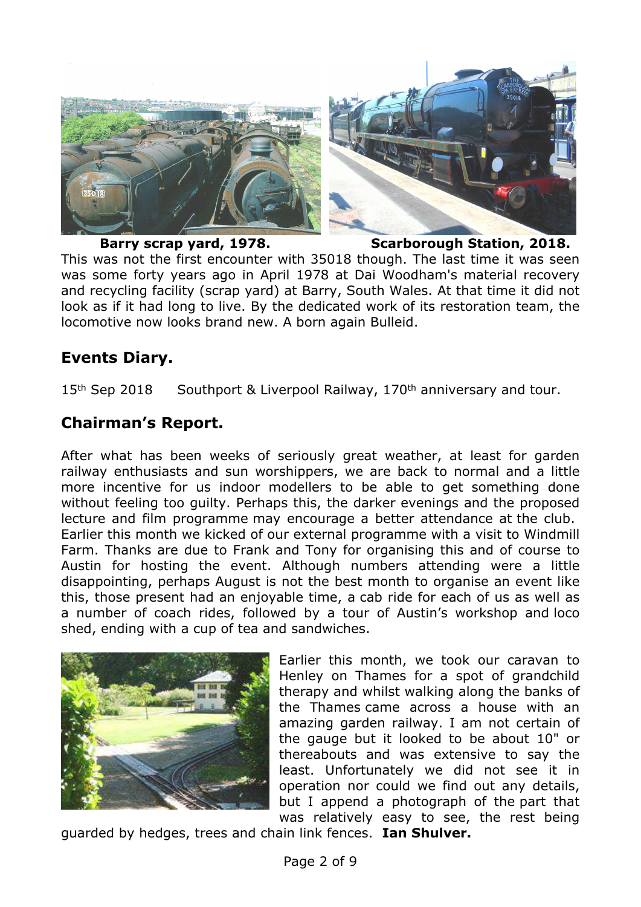

**Barry scrap yard, 1978. Scarborough Station, 2018.**

This was not the first encounter with 35018 though. The last time it was seen was some forty years ago in April 1978 at Dai Woodham's material recovery and recycling facility (scrap yard) at Barry, South Wales. At that time it did not look as if it had long to live. By the dedicated work of its restoration team, the locomotive now looks brand new. A born again Bulleid.

## **Events Diary.**

15<sup>th</sup> Sep 2018 Southport & Liverpool Railway, 170<sup>th</sup> anniversary and tour.

## **Chairman's Report.**

After what has been weeks of seriously great weather, at least for garden railway enthusiasts and sun worshippers, we are back to normal and a little more incentive for us indoor modellers to be able to get something done without feeling too guilty. Perhaps this, the darker evenings and the proposed lecture and film programme may encourage a better attendance at the club. Earlier this month we kicked of our external programme with a visit to Windmill Farm. Thanks are due to Frank and Tony for organising this and of course to Austin for hosting the event. Although numbers attending were a little disappointing, perhaps August is not the best month to organise an event like this, those present had an enjoyable time, a cab ride for each of us as well as a number of coach rides, followed by a tour of Austin's workshop and loco shed, ending with a cup of tea and sandwiches.



Earlier this month, we took our caravan to Henley on Thames for a spot of grandchild therapy and whilst walking along the banks of the Thames came across a house with an amazing garden railway. I am not certain of the gauge but it looked to be about 10" or thereabouts and was extensive to say the least. Unfortunately we did not see it in operation nor could we find out any details, but I append a photograph of the part that was relatively easy to see, the rest being

guarded by hedges, trees and chain link fences. **Ian Shulver.**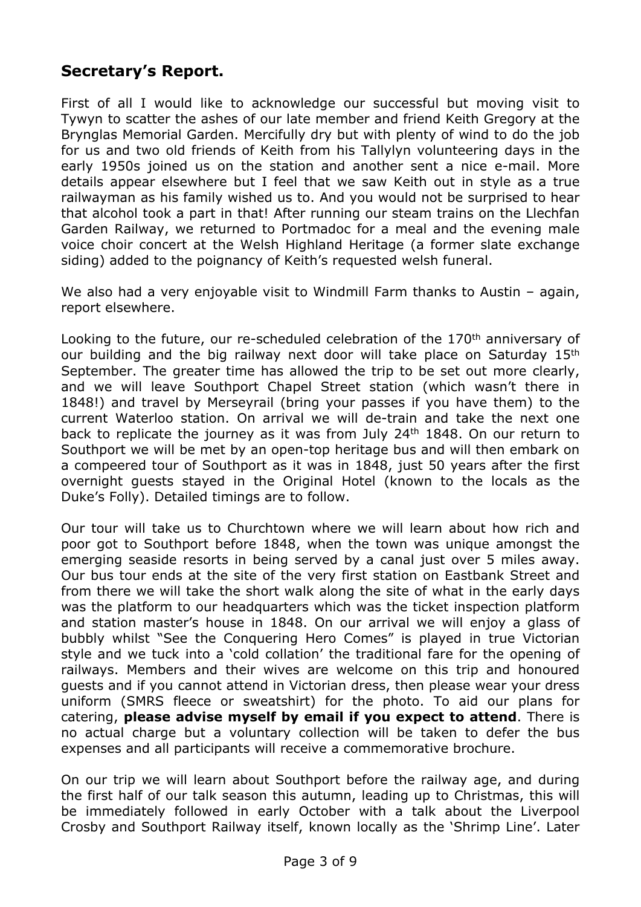## **Secretary's Report.**

First of all I would like to acknowledge our successful but moving visit to Tywyn to scatter the ashes of our late member and friend Keith Gregory at the Brynglas Memorial Garden. Mercifully dry but with plenty of wind to do the job for us and two old friends of Keith from his Tallylyn volunteering days in the early 1950s joined us on the station and another sent a nice e-mail. More details appear elsewhere but I feel that we saw Keith out in style as a true railwayman as his family wished us to. And you would not be surprised to hear that alcohol took a part in that! After running our steam trains on the Llechfan Garden Railway, we returned to Portmadoc for a meal and the evening male voice choir concert at the Welsh Highland Heritage (a former slate exchange siding) added to the poignancy of Keith's requested welsh funeral.

We also had a very enjoyable visit to Windmill Farm thanks to Austin - again, report elsewhere.

Looking to the future, our re-scheduled celebration of the 170<sup>th</sup> anniversary of our building and the big railway next door will take place on Saturday 15<sup>th</sup> September. The greater time has allowed the trip to be set out more clearly, and we will leave Southport Chapel Street station (which wasn't there in 1848!) and travel by Merseyrail (bring your passes if you have them) to the current Waterloo station. On arrival we will de-train and take the next one back to replicate the journey as it was from July 24th 1848. On our return to Southport we will be met by an open-top heritage bus and will then embark on a compeered tour of Southport as it was in 1848, just 50 years after the first overnight guests stayed in the Original Hotel (known to the locals as the Duke's Folly). Detailed timings are to follow.

Our tour will take us to Churchtown where we will learn about how rich and poor got to Southport before 1848, when the town was unique amongst the emerging seaside resorts in being served by a canal just over 5 miles away. Our bus tour ends at the site of the very first station on Eastbank Street and from there we will take the short walk along the site of what in the early days was the platform to our headquarters which was the ticket inspection platform and station master's house in 1848. On our arrival we will enjoy a glass of bubbly whilst "See the Conquering Hero Comes" is played in true Victorian style and we tuck into a 'cold collation' the traditional fare for the opening of railways. Members and their wives are welcome on this trip and honoured guests and if you cannot attend in Victorian dress, then please wear your dress uniform (SMRS fleece or sweatshirt) for the photo. To aid our plans for catering, **please advise myself by email if you expect to attend**. There is no actual charge but a voluntary collection will be taken to defer the bus expenses and all participants will receive a commemorative brochure.

On our trip we will learn about Southport before the railway age, and during the first half of our talk season this autumn, leading up to Christmas, this will be immediately followed in early October with a talk about the Liverpool Crosby and Southport Railway itself, known locally as the 'Shrimp Line'. Later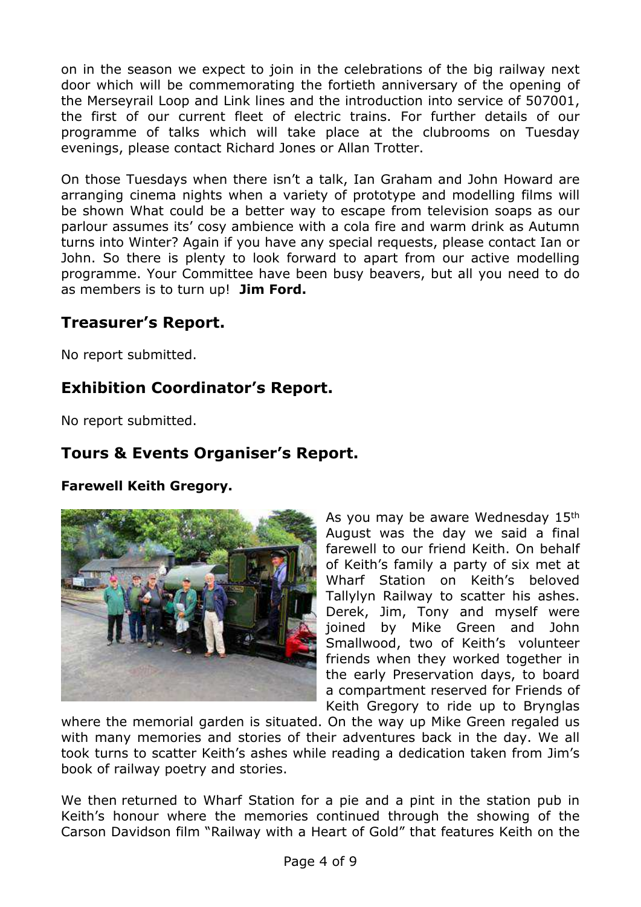on in the season we expect to join in the celebrations of the big railway next door which will be commemorating the fortieth anniversary of the opening of the Merseyrail Loop and Link lines and the introduction into service of 507001, the first of our current fleet of electric trains. For further details of our programme of talks which will take place at the clubrooms on Tuesday evenings, please contact Richard Jones or Allan Trotter.

On those Tuesdays when there isn't a talk, Ian Graham and John Howard are arranging cinema nights when a variety of prototype and modelling films will be shown What could be a better way to escape from television soaps as our parlour assumes its' cosy ambience with a cola fire and warm drink as Autumn turns into Winter? Again if you have any special requests, please contact Ian or John. So there is plenty to look forward to apart from our active modelling programme. Your Committee have been busy beavers, but all you need to do as members is to turn up! **Jim Ford.**

## **Treasurer's Report.**

No report submitted.

## **Exhibition Coordinator's Report.**

No report submitted.

## **Tours & Events Organiser's Report.**

**Farewell Keith Gregory.**



As you may be aware Wednesday 15th August was the day we said a final farewell to our friend Keith. On behalf of Keith's family a party of six met at Wharf Station on Keith's beloved Tallylyn Railway to scatter his ashes. Derek, Jim, Tony and myself were joined by Mike Green and John Smallwood, two of Keith's volunteer friends when they worked together in the early Preservation days, to board a compartment reserved for Friends of Keith Gregory to ride up to Brynglas

where the memorial garden is situated. On the way up Mike Green regaled us with many memories and stories of their adventures back in the day. We all took turns to scatter Keith's ashes while reading a dedication taken from Jim's book of railway poetry and stories.

We then returned to Wharf Station for a pie and a pint in the station pub in Keith's honour where the memories continued through the showing of the Carson Davidson film "Railway with a Heart of Gold" that features Keith on the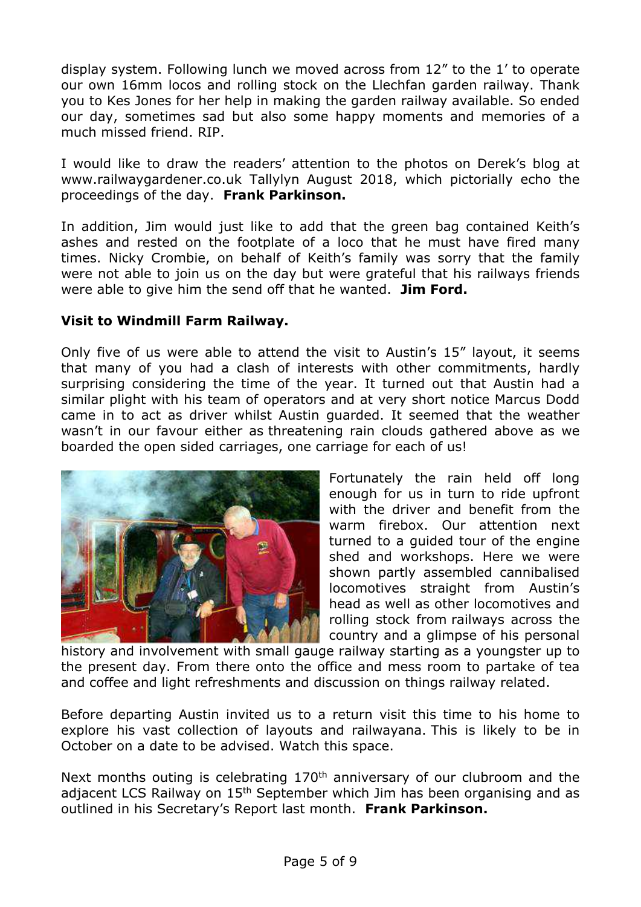display system. Following lunch we moved across from 12" to the 1' to operate our own 16mm locos and rolling stock on the Llechfan garden railway. Thank you to Kes Jones for her help in making the garden railway available. So ended our day, sometimes sad but also some happy moments and memories of a much missed friend. RIP.

I would like to draw the readers' attention to the photos on Derek's blog at www.railwaygardener.co.uk Tallylyn August 2018, which pictorially echo the proceedings of the day. **Frank Parkinson.**

In addition, Jim would just like to add that the green bag contained Keith's ashes and rested on the footplate of a loco that he must have fired many times. Nicky Crombie, on behalf of Keith's family was sorry that the family were not able to join us on the day but were grateful that his railways friends were able to give him the send off that he wanted. **Jim Ford.**

### **Visit to Windmill Farm Railway.**

Only five of us were able to attend the visit to Austin's 15" layout, it seems that many of you had a clash of interests with other commitments, hardly surprising considering the time of the year. It turned out that Austin had a similar plight with his team of operators and at very short notice Marcus Dodd came in to act as driver whilst Austin guarded. It seemed that the weather wasn't in our favour either as threatening rain clouds gathered above as we boarded the open sided carriages, one carriage for each of us!



Fortunately the rain held off long enough for us in turn to ride upfront with the driver and benefit from the warm firebox. Our attention next turned to a guided tour of the engine shed and workshops. Here we were shown partly assembled cannibalised locomotives straight from Austin's head as well as other locomotives and rolling stock from railways across the country and a glimpse of his personal

history and involvement with small gauge railway starting as a youngster up to the present day. From there onto the office and mess room to partake of tea and coffee and light refreshments and discussion on things railway related.

Before departing Austin invited us to a return visit this time to his home to explore his vast collection of layouts and railwayana. This is likely to be in October on a date to be advised. Watch this space.

Next months outing is celebrating 170<sup>th</sup> anniversary of our clubroom and the adjacent LCS Railway on 15<sup>th</sup> September which Jim has been organising and as outlined in his Secretary's Report last month. **Frank Parkinson.**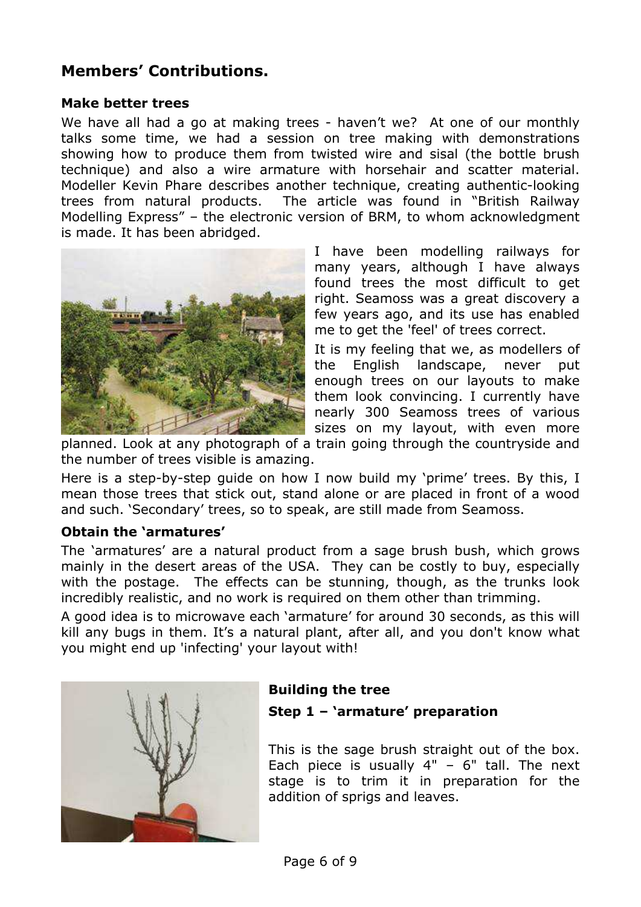# **Members' Contributions.**

### **Make better trees**

We have all had a go at making trees - haven't we? At one of our monthly talks some time, we had a session on tree making with demonstrations showing how to produce them from twisted wire and sisal (the bottle brush technique) and also a wire armature with horsehair and scatter material. Modeller Kevin Phare describes another technique, creating authentic-looking trees from natural products. The article was found in "British Railway Modelling Express" – the electronic version of BRM, to whom acknowledgment is made. It has been abridged.



I have been modelling railways for many years, although I have always found trees the most difficult to get right. Seamoss was a great discovery a few years ago, and its use has enabled me to get the 'feel' of trees correct.

It is my feeling that we, as modellers of the English landscape, never put enough trees on our layouts to make them look convincing. I currently have nearly 300 Seamoss trees of various sizes on my layout, with even more

planned. Look at any photograph of a train going through the countryside and the number of trees visible is amazing.

Here is a step-by-step guide on how I now build my 'prime' trees. By this, I mean those trees that stick out, stand alone or are placed in front of a wood and such. 'Secondary' trees, so to speak, are still made from Seamoss.

### **Obtain the 'armatures'**

The 'armatures' are a natural product from a sage brush bush, which grows mainly in the desert areas of the USA. They can be costly to buy, especially with the postage. The effects can be stunning, though, as the trunks look incredibly realistic, and no work is required on them other than trimming.

A good idea is to microwave each 'armature' for around 30 seconds, as this will kill any bugs in them. It's a natural plant, after all, and you don't know what you might end up 'infecting' your layout with!



# **Building the tree**

### **Step 1 – 'armature' preparation**

This is the sage brush straight out of the box. Each piece is usually  $4" - 6"$  tall. The next stage is to trim it in preparation for the addition of sprigs and leaves.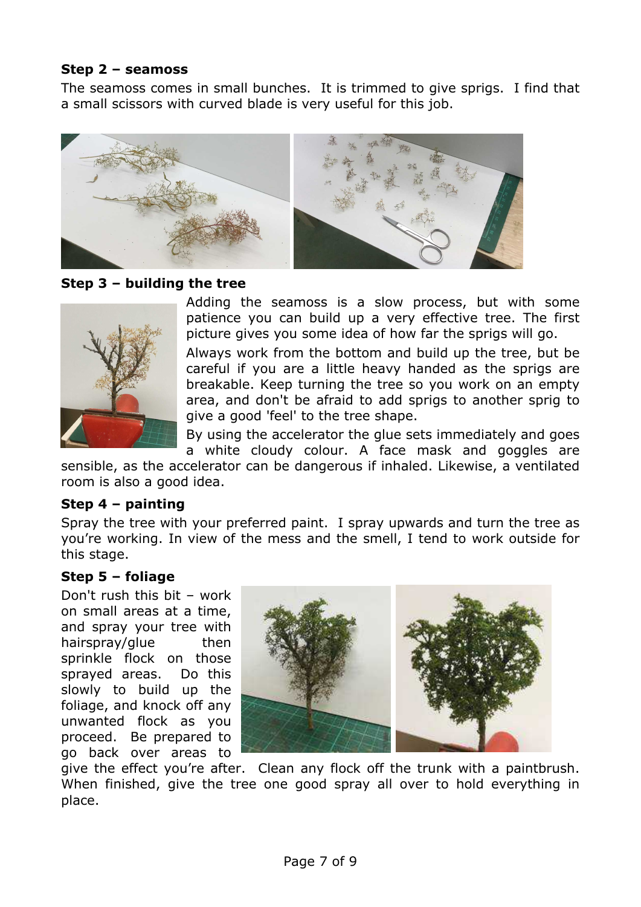### **Step 2 – seamoss**

The seamoss comes in small bunches. It is trimmed to give sprigs. I find that a small scissors with curved blade is very useful for this job.



### **Step 3 – building the tree**



Adding the seamoss is a slow process, but with some patience you can build up a very effective tree. The first picture gives you some idea of how far the sprigs will go.

Always work from the bottom and build up the tree, but be careful if you are a little heavy handed as the sprigs are breakable. Keep turning the tree so you work on an empty area, and don't be afraid to add sprigs to another sprig to give a good 'feel' to the tree shape.

By using the accelerator the glue sets immediately and goes a white cloudy colour. A face mask and goggles are

sensible, as the accelerator can be dangerous if inhaled. Likewise, a ventilated room is also a good idea.

### **Step 4 – painting**

Spray the tree with your preferred paint. I spray upwards and turn the tree as you're working. In view of the mess and the smell, I tend to work outside for this stage.

### **Step 5 – foliage**

Don't rush this bit – work on small areas at a time, and spray your tree with hairspray/glue then sprinkle flock on those sprayed areas. Do this slowly to build up the foliage, and knock off any unwanted flock as you proceed. Be prepared to go back over areas to



give the effect you're after. Clean any flock off the trunk with a paintbrush. When finished, give the tree one good spray all over to hold everything in place.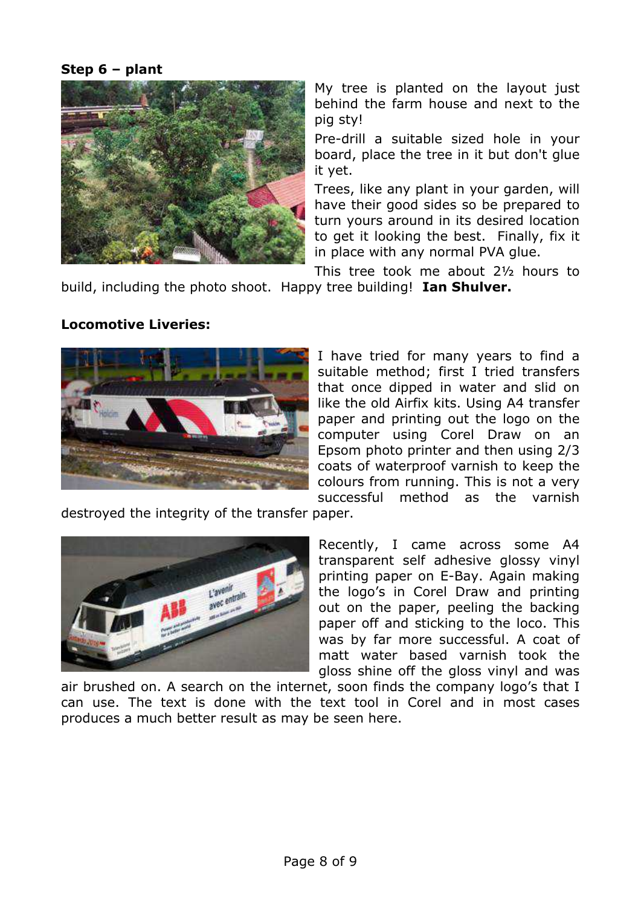### **Step 6 – plant**



My tree is planted on the layout just behind the farm house and next to the pig sty!

Pre-drill a suitable sized hole in your board, place the tree in it but don't glue it yet.

Trees, like any plant in your garden, will have their good sides so be prepared to turn yours around in its desired location to get it looking the best. Finally, fix it in place with any normal PVA glue.

This tree took me about 2½ hours to build, including the photo shoot. Happy tree building! **Ian Shulver.**

### **Locomotive Liveries:**



I have tried for many years to find a suitable method; first I tried transfers that once dipped in water and slid on like the old Airfix kits. Using A4 transfer paper and printing out the logo on the computer using Corel Draw on an Epsom photo printer and then using 2/3 coats of waterproof varnish to keep the colours from running. This is not a very successful method as the varnish

destroyed the integrity of the transfer paper.



Recently, I came across some A4 transparent self adhesive glossy vinyl printing paper on E-Bay. Again making the logo's in Corel Draw and printing out on the paper, peeling the backing paper off and sticking to the loco. This was by far more successful. A coat of matt water based varnish took the gloss shine off the gloss vinyl and was

air brushed on. A search on the internet, soon finds the company logo's that I can use. The text is done with the text tool in Corel and in most cases produces a much better result as may be seen here.